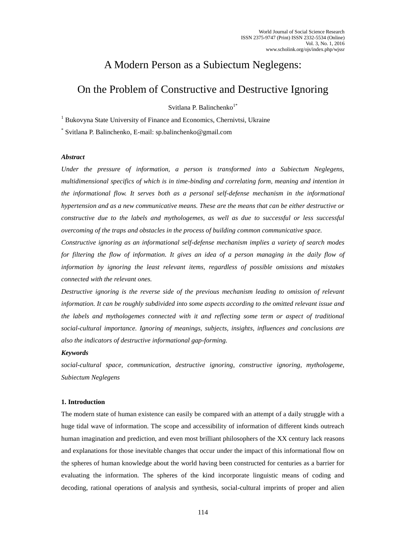# A Modern Person as a Subiectum Neglegens:

# On the Problem of Constructive and Destructive Ignoring

Svitlana P. Balinchenko<sup>1\*</sup>

<sup>1</sup> Bukovyna State University of Finance and Economics, Chernivtsi, Ukraine

\* Svitlana P. Balinchenko, E-mail: sp.balinchenko@gmail.com

### *Abstract*

*Under the pressure of information, a person is transformed into a Subiectum Neglegens, multidimensional specifics of which is in time-binding and correlating form, meaning and intention in the informational flow. It serves both as a personal self-defense mechanism in the informational hypertension and as a new communicative means. These are the means that can be either destructive or constructive due to the labels and mythologemes, as well as due to successful or less successful overcoming of the traps and obstacles in the process of building common communicative space.*

*Constructive ignoring as an informational self-defense mechanism implies a variety of search modes*  for filtering the flow of information. It gives an idea of a person managing in the daily flow of *information by ignoring the least relevant items, regardless of possible omissions and mistakes connected with the relevant ones.*

*Destructive ignoring is the reverse side of the previous mechanism leading to omission of relevant information. It can be roughly subdivided into some aspects according to the omitted relevant issue and the labels and mythologemes connected with it and reflecting some term or aspect of traditional social-cultural importance. Ignoring of meanings, subjects, insights, influences and conclusions are also the indicators of destructive informational gap-forming.*

### *Keywords*

*social-cultural space, communication, destructive ignoring, constructive ignoring, mythologeme, Subiectum Neglegens*

# **1. Introduction**

The modern state of human existence can easily be compared with an attempt of a daily struggle with a huge tidal wave of information. The scope and accessibility of information of different kinds outreach human imagination and prediction, and even most brilliant philosophers of the XX century lack reasons and explanations for those inevitable changes that occur under the impact of this informational flow on the spheres of human knowledge about the world having been constructed for centuries as a barrier for evaluating the information. The spheres of the kind incorporate linguistic means of coding and decoding, rational operations of analysis and synthesis, social-cultural imprints of proper and alien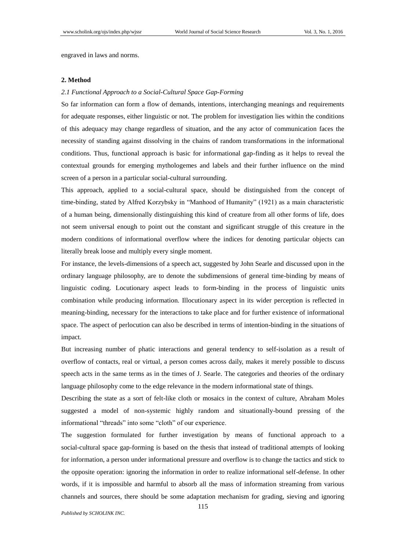engraved in laws and norms.

## **2. Method**

#### *2.1 Functional Approach to a Social-Cultural Space Gap-Forming*

So far information can form a flow of demands, intentions, interchanging meanings and requirements for adequate responses, either linguistic or not. The problem for investigation lies within the conditions of this adequacy may change regardless of situation, and the any actor of communication faces the necessity of standing against dissolving in the chains of random transformations in the informational conditions. Thus, functional approach is basic for informational gap-finding as it helps to reveal the contextual grounds for emerging mythologemes and labels and their further influence on the mind screen of a person in a particular social-cultural surrounding.

This approach, applied to a social-cultural space, should be distinguished from the concept of time-binding, stated by Alfred Korzybsky in "Manhood of Humanity" (1921) as a main characteristic of a human being, dimensionally distinguishing this kind of creature from all other forms of life, does not seem universal enough to point out the constant and significant struggle of this creature in the modern conditions of informational overflow where the indices for denoting particular objects can literally break loose and multiply every single moment.

For instance, the levels-dimensions of a speech act, suggested by John Searle and discussed upon in the ordinary language philosophy, are to denote the subdimensions of general time-binding by means of linguistic coding. Locutionary aspect leads to form-binding in the process of linguistic units combination while producing information. Illocutionary aspect in its wider perception is reflected in meaning-binding, necessary for the interactions to take place and for further existence of informational space. The aspect of perlocution can also be described in terms of intention-binding in the situations of impact.

But increasing number of phatic interactions and general tendency to self-isolation as a result of overflow of contacts, real or virtual, a person comes across daily, makes it merely possible to discuss speech acts in the same terms as in the times of J. Searle. The categories and theories of the ordinary language philosophy come to the edge relevance in the modern informational state of things.

Describing the state as a sort of felt-like cloth or mosaics in the context of culture, Abraham Moles suggested a model of non-systemic highly random and situationally-bound pressing of the informational "threads" into some "cloth" of our experience.

The suggestion formulated for further investigation by means of functional approach to a social-cultural space gap-forming is based on the thesis that instead of traditional attempts of looking for information, a person under informational pressure and overflow is to change the tactics and stick to the opposite operation: ignoring the information in order to realize informational self-defense. In other words, if it is impossible and harmful to absorb all the mass of information streaming from various channels and sources, there should be some adaptation mechanism for grading, sieving and ignoring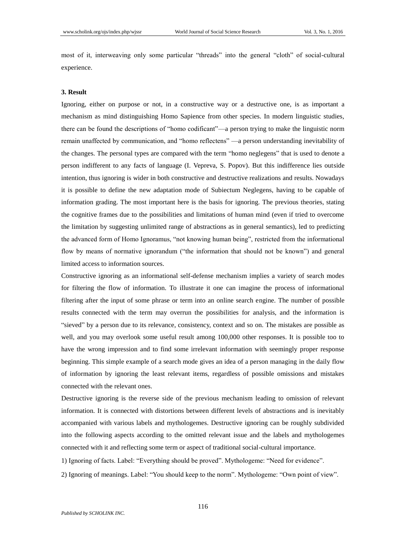most of it, interweaving only some particular "threads" into the general "cloth" of social-cultural experience.

#### **3. Result**

Ignoring, either on purpose or not, in a constructive way or a destructive one, is as important a mechanism as mind distinguishing Homo Sapience from other species. In modern linguistic studies, there can be found the descriptions of "homo codificant"—a person trying to make the linguistic norm remain unaffected by communication, and "homo reflectens" —a person understanding inevitability of the changes. The personal types are compared with the term "homo neglegens" that is used to denote a person indifferent to any facts of language (I. Vepreva, S. Popov). But this indifference lies outside intention, thus ignoring is wider in both constructive and destructive realizations and results. Nowadays it is possible to define the new adaptation mode of Subiectum Neglegens, having to be capable of information grading. The most important here is the basis for ignoring. The previous theories, stating the cognitive frames due to the possibilities and limitations of human mind (even if tried to overcome the limitation by suggesting unlimited range of abstractions as in general semantics), led to predicting the advanced form of Homo Ignoramus, "not knowing human being", restricted from the informational flow by means of normative ignorandum ("the information that should not be known") and general limited access to information sources.

Constructive ignoring as an informational self-defense mechanism implies a variety of search modes for filtering the flow of information. To illustrate it one can imagine the process of informational filtering after the input of some phrase or term into an online search engine. The number of possible results connected with the term may overrun the possibilities for analysis, and the information is "sieved" by a person due to its relevance, consistency, context and so on. The mistakes are possible as well, and you may overlook some useful result among 100,000 other responses. It is possible too to have the wrong impression and to find some irrelevant information with seemingly proper response beginning. This simple example of a search mode gives an idea of a person managing in the daily flow of information by ignoring the least relevant items, regardless of possible omissions and mistakes connected with the relevant ones.

Destructive ignoring is the reverse side of the previous mechanism leading to omission of relevant information. It is connected with distortions between different levels of abstractions and is inevitably accompanied with various labels and mythologemes. Destructive ignoring can be roughly subdivided into the following aspects according to the omitted relevant issue and the labels and mythologemes connected with it and reflecting some term or aspect of traditional social-cultural importance.

1) Ignoring of facts. Label: "Everything should be proved". Mythologeme: "Need for evidence".

2) Ignoring of meanings. Label: "You should keep to the norm". Mythologeme: "Own point of view".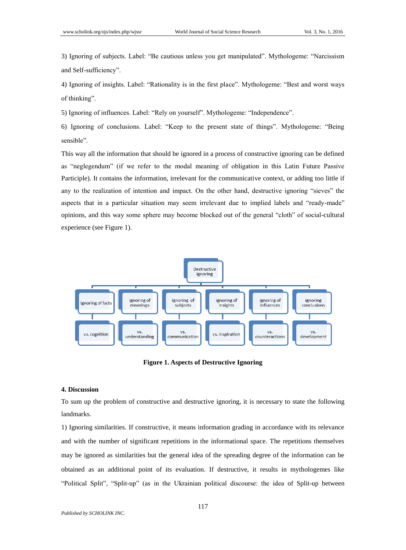3) Ignoring of subjects. Label: "Be cautious unless you get manipulated". Mythologeme: "Narcissism and Self-sufficiency".

4) Ignoring of insights. Label: "Rationality is in the first place". Mythologeme: "Best and worst ways of thinking".

5) Ignoring of influences. Label: "Rely on yourself". Mythologeme: "Independence".

6) Ignoring of conclusions. Label: "Keep to the present state of things". Mythologeme: "Being sensible".

This way all the information that should be ignored in a process of constructive ignoring can be defined as "neglegendum" (if we refer to the modal meaning of obligation in this Latin Future Passive Participle). It contains the information, irrelevant for the communicative context, or adding too little if any to the realization of intention and impact. On the other hand, destructive ignoring "sieves" the aspects that in a particular situation may seem irrelevant due to implied labels and "ready-made" opinions, and this way some sphere may become blocked out of the general "cloth" of social-cultural experience (see Figure 1).



**Figure 1. Aspects of Destructive Ignoring**

### **4. Discussion**

To sum up the problem of constructive and destructive ignoring, it is necessary to state the following landmarks.

1) Ignoring similarities. If constructive, it means information grading in accordance with its relevance and with the number of significant repetitions in the informational space. The repetitions themselves may be ignored as similarities but the general idea of the spreading degree of the information can be obtained as an additional point of its evaluation. If destructive, it results in mythologemes like "Political Split", "Split-up" (as in the Ukrainian political discourse: the idea of Split-up between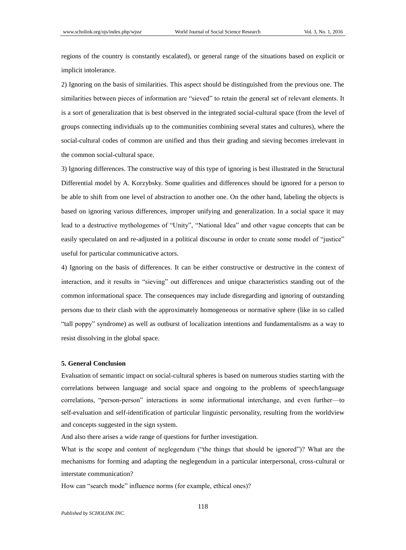regions of the country is constantly escalated), or general range of the situations based on explicit or implicit intolerance.

2) Ignoring on the basis of similarities. This aspect should be distinguished from the previous one. The similarities between pieces of information are "sieved" to retain the general set of relevant elements. It is a sort of generalization that is best observed in the integrated social-cultural space (from the level of groups connecting individuals up to the communities combining several states and cultures), where the social-cultural codes of common are unified and thus their grading and sieving becomes irrelevant in the common social-cultural space.

3) Ignoring differences. The constructive way of this type of ignoring is best illustrated in the Structural Differential model by A. Korzybsky. Some qualities and differences should be ignored for a person to be able to shift from one level of abstraction to another one. On the other hand, labeling the objects is based on ignoring various differences, improper unifying and generalization. In a social space it may lead to a destructive mythologemes of "Unity", "National Idea" and other vague concepts that can be easily speculated on and re-adjusted in a political discourse in order to create some model of "justice" useful for particular communicative actors.

4) Ignoring on the basis of differences. It can be either constructive or destructive in the context of interaction, and it results in "sieving" out differences and unique characteristics standing out of the common informational space. The consequences may include disregarding and ignoring of outstanding persons due to their clash with the approximately homogeneous or normative sphere (like in so called "tall poppy" syndrome) as well as outburst of localization intentions and fundamentalisms as a way to resist dissolving in the global space.

#### **5. General Conclusion**

Evaluation of semantic impact on social-cultural spheres is based on numerous studies starting with the correlations between language and social space and ongoing to the problems of speech/language correlations, "person-person" interactions in some informational interchange, and even further—to self-evaluation and self-identification of particular linguistic personality, resulting from the worldview and concepts suggested in the sign system.

And also there arises a wide range of questions for further investigation.

What is the scope and content of neglegendum ("the things that should be ignored")? What are the mechanisms for forming and adapting the neglegendum in a particular interpersonal, cross-cultural or interstate communication?

How can "search mode" influence norms (for example, ethical ones)?